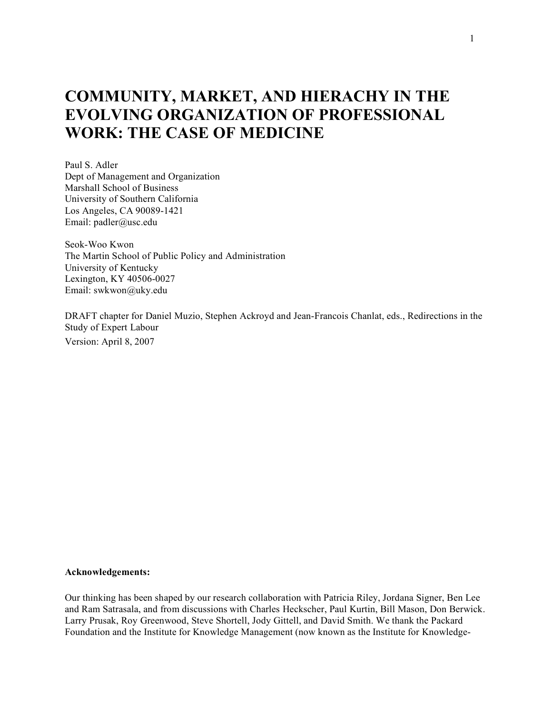# **COMMUNITY, MARKET, AND HIERACHY IN THE EVOLVING ORGANIZATION OF PROFESSIONAL WORK: THE CASE OF MEDICINE**

Paul S. Adler Dept of Management and Organization Marshall School of Business University of Southern California Los Angeles, CA 90089-1421 Email: padler@usc.edu

Seok-Woo Kwon The Martin School of Public Policy and Administration University of Kentucky Lexington, KY 40506-0027 Email: swkwon@uky.edu

DRAFT chapter for Daniel Muzio, Stephen Ackroyd and Jean-Francois Chanlat, eds., Redirections in the Study of Expert Labour Version: April 8, 2007

### **Acknowledgements:**

Our thinking has been shaped by our research collaboration with Patricia Riley, Jordana Signer, Ben Lee and Ram Satrasala, and from discussions with Charles Heckscher, Paul Kurtin, Bill Mason, Don Berwick. Larry Prusak, Roy Greenwood, Steve Shortell, Jody Gittell, and David Smith. We thank the Packard Foundation and the Institute for Knowledge Management (now known as the Institute for Knowledge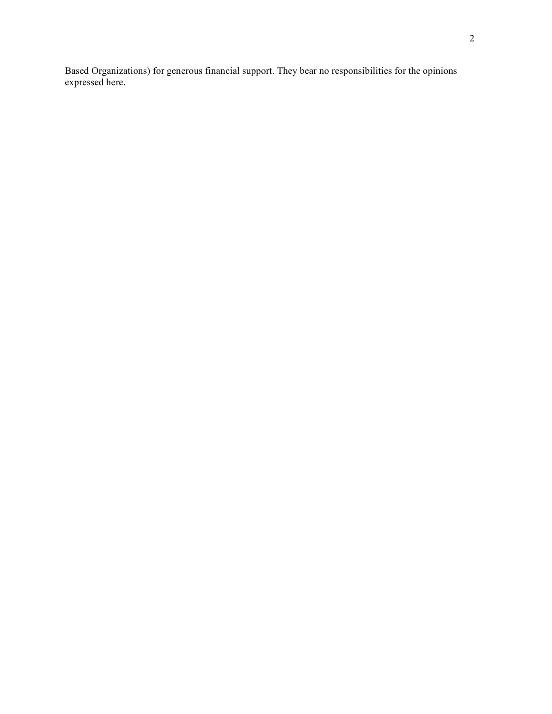Based Organizations) for generous financial support. They bear no responsibilities for the opinions expressed here.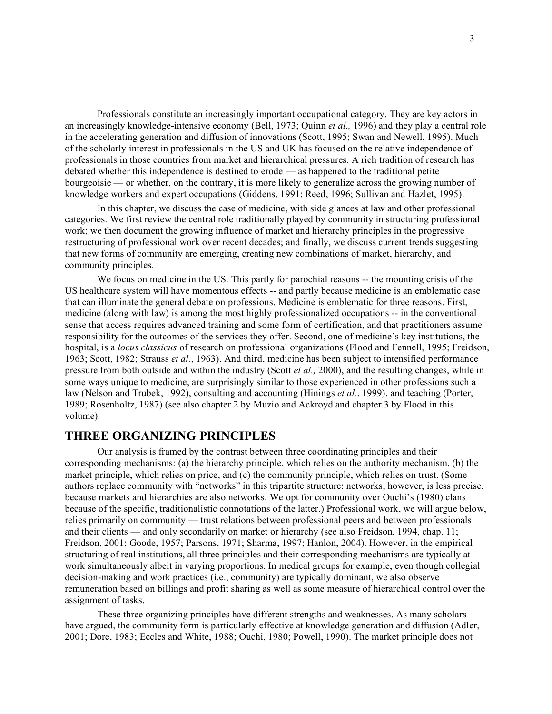Professionals constitute an increasingly important occupational category. They are key actors in an increasingly knowledge-intensive economy (Bell, 1973; Quinn *et al.,* 1996) and they play a central role in the accelerating generation and diffusion of innovations (Scott, 1995; Swan and Newell, 1995). Much of the scholarly interest in professionals in the US and UK has focused on the relative independence of professionals in those countries from market and hierarchical pressures. A rich tradition of research has debated whether this independence is destined to erode — as happened to the traditional petite bourgeoisie — or whether, on the contrary, it is more likely to generalize across the growing number of knowledge workers and expert occupations (Giddens, 1991; Reed, 1996; Sullivan and Hazlet, 1995).

In this chapter, we discuss the case of medicine, with side glances at law and other professional categories. We first review the central role traditionally played by community in structuring professional work; we then document the growing influence of market and hierarchy principles in the progressive restructuring of professional work over recent decades; and finally, we discuss current trends suggesting that new forms of community are emerging, creating new combinations of market, hierarchy, and community principles.

We focus on medicine in the US. This partly for parochial reasons -- the mounting crisis of the US healthcare system will have momentous effects -- and partly because medicine is an emblematic case that can illuminate the general debate on professions. Medicine is emblematic for three reasons. First, medicine (along with law) is among the most highly professionalized occupations -- in the conventional sense that access requires advanced training and some form of certification, and that practitioners assume responsibility for the outcomes of the services they offer. Second, one of medicine's key institutions, the hospital, is a *locus classicus* of research on professional organizations (Flood and Fennell, 1995; Freidson, 1963; Scott, 1982; Strauss *et al.*, 1963). And third, medicine has been subject to intensified performance pressure from both outside and within the industry (Scott *et al.,* 2000), and the resulting changes, while in some ways unique to medicine, are surprisingly similar to those experienced in other professions such a law (Nelson and Trubek, 1992), consulting and accounting (Hinings *et al.*, 1999), and teaching (Porter, 1989; Rosenholtz, 1987) (see also chapter 2 by Muzio and Ackroyd and chapter 3 by Flood in this volume).

### **THREE ORGANIZING PRINCIPLES**

Our analysis is framed by the contrast between three coordinating principles and their corresponding mechanisms: (a) the hierarchy principle, which relies on the authority mechanism, (b) the market principle, which relies on price, and (c) the community principle, which relies on trust. (Some authors replace community with "networks" in this tripartite structure: networks, however, is less precise, because markets and hierarchies are also networks. We opt for community over Ouchi's (1980) clans because of the specific, traditionalistic connotations of the latter.) Professional work, we will argue below, relies primarily on community — trust relations between professional peers and between professionals and their clients — and only secondarily on market or hierarchy (see also Freidson, 1994, chap. 11; Freidson, 2001; Goode, 1957; Parsons, 1971; Sharma, 1997; Hanlon, 2004). However, in the empirical structuring of real institutions, all three principles and their corresponding mechanisms are typically at work simultaneously albeit in varying proportions. In medical groups for example, even though collegial decision-making and work practices (i.e., community) are typically dominant, we also observe remuneration based on billings and profit sharing as well as some measure of hierarchical control over the assignment of tasks.

These three organizing principles have different strengths and weaknesses. As many scholars have argued, the community form is particularly effective at knowledge generation and diffusion (Adler, 2001; Dore, 1983; Eccles and White, 1988; Ouchi, 1980; Powell, 1990). The market principle does not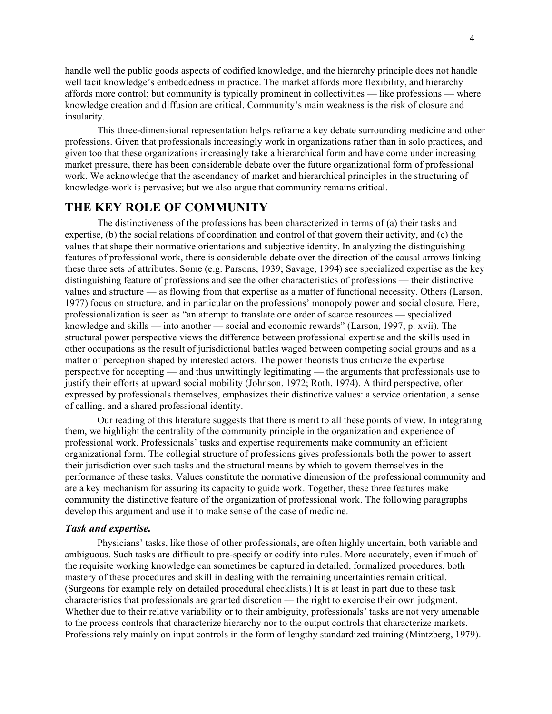handle well the public goods aspects of codified knowledge, and the hierarchy principle does not handle well tacit knowledge's embeddedness in practice. The market affords more flexibility, and hierarchy affords more control; but community is typically prominent in collectivities — like professions — where knowledge creation and diffusion are critical. Community's main weakness is the risk of closure and insularity.

This three-dimensional representation helps reframe a key debate surrounding medicine and other professions. Given that professionals increasingly work in organizations rather than in solo practices, and given too that these organizations increasingly take a hierarchical form and have come under increasing market pressure, there has been considerable debate over the future organizational form of professional work. We acknowledge that the ascendancy of market and hierarchical principles in the structuring of knowledge-work is pervasive; but we also argue that community remains critical.

### **THE KEY ROLE OF COMMUNITY**

The distinctiveness of the professions has been characterized in terms of (a) their tasks and expertise, (b) the social relations of coordination and control of that govern their activity, and (c) the values that shape their normative orientations and subjective identity. In analyzing the distinguishing features of professional work, there is considerable debate over the direction of the causal arrows linking these three sets of attributes. Some (e.g. Parsons, 1939; Savage, 1994) see specialized expertise as the key distinguishing feature of professions and see the other characteristics of professions — their distinctive values and structure — as flowing from that expertise as a matter of functional necessity. Others (Larson, 1977) focus on structure, and in particular on the professions' monopoly power and social closure. Here, professionalization is seen as "an attempt to translate one order of scarce resources — specialized knowledge and skills — into another — social and economic rewards" (Larson, 1997, p. xvii). The structural power perspective views the difference between professional expertise and the skills used in other occupations as the result of jurisdictional battles waged between competing social groups and as a matter of perception shaped by interested actors. The power theorists thus criticize the expertise perspective for accepting — and thus unwittingly legitimating — the arguments that professionals use to justify their efforts at upward social mobility (Johnson, 1972; Roth, 1974). A third perspective, often expressed by professionals themselves, emphasizes their distinctive values: a service orientation, a sense of calling, and a shared professional identity.

Our reading of this literature suggests that there is merit to all these points of view. In integrating them, we highlight the centrality of the community principle in the organization and experience of professional work. Professionals' tasks and expertise requirements make community an efficient organizational form. The collegial structure of professions gives professionals both the power to assert their jurisdiction over such tasks and the structural means by which to govern themselves in the performance of these tasks. Values constitute the normative dimension of the professional community and are a key mechanism for assuring its capacity to guide work. Together, these three features make community the distinctive feature of the organization of professional work. The following paragraphs develop this argument and use it to make sense of the case of medicine.

#### *Task and expertise.*

Physicians' tasks, like those of other professionals, are often highly uncertain, both variable and ambiguous. Such tasks are difficult to pre-specify or codify into rules. More accurately, even if much of the requisite working knowledge can sometimes be captured in detailed, formalized procedures, both mastery of these procedures and skill in dealing with the remaining uncertainties remain critical. (Surgeons for example rely on detailed procedural checklists.) It is at least in part due to these task characteristics that professionals are granted discretion — the right to exercise their own judgment. Whether due to their relative variability or to their ambiguity, professionals' tasks are not very amenable to the process controls that characterize hierarchy nor to the output controls that characterize markets. Professions rely mainly on input controls in the form of lengthy standardized training (Mintzberg, 1979).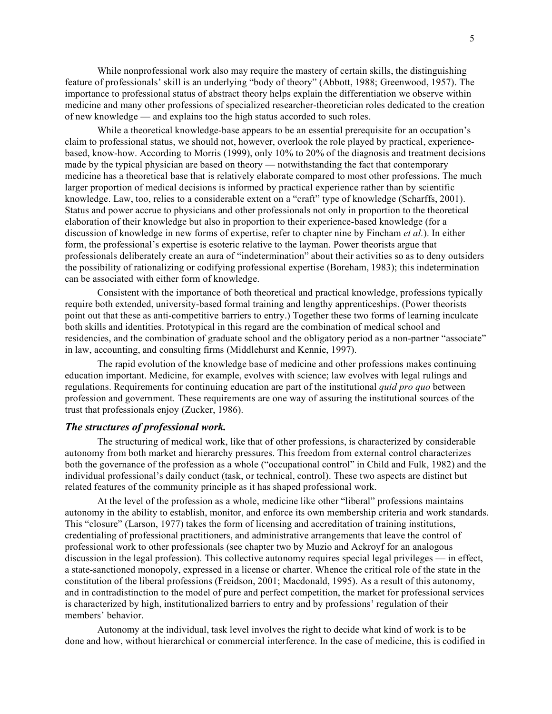While nonprofessional work also may require the mastery of certain skills, the distinguishing feature of professionals' skill is an underlying "body of theory" (Abbott, 1988; Greenwood, 1957). The importance to professional status of abstract theory helps explain the differentiation we observe within medicine and many other professions of specialized researcher-theoretician roles dedicated to the creation of new knowledge — and explains too the high status accorded to such roles.

While a theoretical knowledge-base appears to be an essential prerequisite for an occupation's claim to professional status, we should not, however, overlook the role played by practical, experiencebased, know-how. According to Morris (1999), only 10% to 20% of the diagnosis and treatment decisions made by the typical physician are based on theory — notwithstanding the fact that contemporary medicine has a theoretical base that is relatively elaborate compared to most other professions. The much larger proportion of medical decisions is informed by practical experience rather than by scientific knowledge. Law, too, relies to a considerable extent on a "craft" type of knowledge (Scharffs, 2001). Status and power accrue to physicians and other professionals not only in proportion to the theoretical elaboration of their knowledge but also in proportion to their experience-based knowledge (for a discussion of knowledge in new forms of expertise, refer to chapter nine by Fincham *et al.*). In either form, the professional's expertise is esoteric relative to the layman. Power theorists argue that professionals deliberately create an aura of "indetermination" about their activities so as to deny outsiders the possibility of rationalizing or codifying professional expertise (Boreham, 1983); this indetermination can be associated with either form of knowledge.

Consistent with the importance of both theoretical and practical knowledge, professions typically require both extended, university-based formal training and lengthy apprenticeships. (Power theorists point out that these as anti-competitive barriers to entry.) Together these two forms of learning inculcate both skills and identities. Prototypical in this regard are the combination of medical school and residencies, and the combination of graduate school and the obligatory period as a non-partner "associate" in law, accounting, and consulting firms (Middlehurst and Kennie, 1997).

The rapid evolution of the knowledge base of medicine and other professions makes continuing education important. Medicine, for example, evolves with science; law evolves with legal rulings and regulations. Requirements for continuing education are part of the institutional *quid pro quo* between profession and government. These requirements are one way of assuring the institutional sources of the trust that professionals enjoy (Zucker, 1986).

### *The structures of professional work.*

The structuring of medical work, like that of other professions, is characterized by considerable autonomy from both market and hierarchy pressures. This freedom from external control characterizes both the governance of the profession as a whole ("occupational control" in Child and Fulk, 1982) and the individual professional's daily conduct (task, or technical, control). These two aspects are distinct but related features of the community principle as it has shaped professional work.

At the level of the profession as a whole, medicine like other "liberal" professions maintains autonomy in the ability to establish, monitor, and enforce its own membership criteria and work standards. This "closure" (Larson, 1977) takes the form of licensing and accreditation of training institutions, credentialing of professional practitioners, and administrative arrangements that leave the control of professional work to other professionals (see chapter two by Muzio and Ackroyf for an analogous discussion in the legal profession). This collective autonomy requires special legal privileges — in effect, a state-sanctioned monopoly, expressed in a license or charter. Whence the critical role of the state in the constitution of the liberal professions (Freidson, 2001; Macdonald, 1995). As a result of this autonomy, and in contradistinction to the model of pure and perfect competition, the market for professional services is characterized by high, institutionalized barriers to entry and by professions' regulation of their members' behavior.

Autonomy at the individual, task level involves the right to decide what kind of work is to be done and how, without hierarchical or commercial interference. In the case of medicine, this is codified in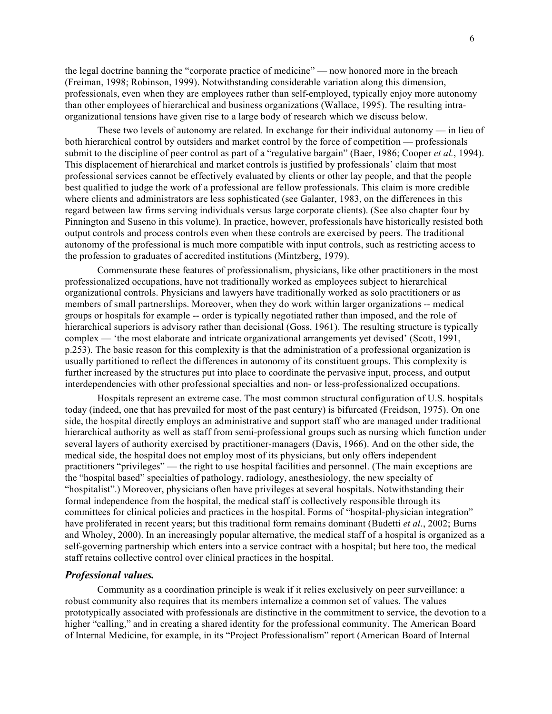the legal doctrine banning the "corporate practice of medicine" — now honored more in the breach (Freiman, 1998; Robinson, 1999). Notwithstanding considerable variation along this dimension, professionals, even when they are employees rather than self-employed, typically enjoy more autonomy than other employees of hierarchical and business organizations (Wallace, 1995). The resulting intraorganizational tensions have given rise to a large body of research which we discuss below.

These two levels of autonomy are related. In exchange for their individual autonomy — in lieu of both hierarchical control by outsiders and market control by the force of competition — professionals submit to the discipline of peer control as part of a "regulative bargain" (Baer, 1986; Cooper *et al.*, 1994). This displacement of hierarchical and market controls is justified by professionals' claim that most professional services cannot be effectively evaluated by clients or other lay people, and that the people best qualified to judge the work of a professional are fellow professionals. This claim is more credible where clients and administrators are less sophisticated (see Galanter, 1983, on the differences in this regard between law firms serving individuals versus large corporate clients). (See also chapter four by Pinnington and Suseno in this volume). In practice, however, professionals have historically resisted both output controls and process controls even when these controls are exercised by peers. The traditional autonomy of the professional is much more compatible with input controls, such as restricting access to the profession to graduates of accredited institutions (Mintzberg, 1979).

Commensurate these features of professionalism, physicians, like other practitioners in the most professionalized occupations, have not traditionally worked as employees subject to hierarchical organizational controls. Physicians and lawyers have traditionally worked as solo practitioners or as members of small partnerships. Moreover, when they do work within larger organizations -- medical groups or hospitals for example -- order is typically negotiated rather than imposed, and the role of hierarchical superiors is advisory rather than decisional (Goss, 1961). The resulting structure is typically complex — 'the most elaborate and intricate organizational arrangements yet devised' (Scott, 1991, p.253). The basic reason for this complexity is that the administration of a professional organization is usually partitioned to reflect the differences in autonomy of its constituent groups. This complexity is further increased by the structures put into place to coordinate the pervasive input, process, and output interdependencies with other professional specialties and non- or less-professionalized occupations.

Hospitals represent an extreme case. The most common structural configuration of U.S. hospitals today (indeed, one that has prevailed for most of the past century) is bifurcated (Freidson, 1975). On one side, the hospital directly employs an administrative and support staff who are managed under traditional hierarchical authority as well as staff from semi-professional groups such as nursing which function under several layers of authority exercised by practitioner-managers (Davis, 1966). And on the other side, the medical side, the hospital does not employ most of its physicians, but only offers independent practitioners "privileges" — the right to use hospital facilities and personnel. (The main exceptions are the "hospital based" specialties of pathology, radiology, anesthesiology, the new specialty of "hospitalist".) Moreover, physicians often have privileges at several hospitals. Notwithstanding their formal independence from the hospital, the medical staff is collectively responsible through its committees for clinical policies and practices in the hospital. Forms of "hospital-physician integration" have proliferated in recent years; but this traditional form remains dominant (Budetti *et al*., 2002; Burns and Wholey, 2000). In an increasingly popular alternative, the medical staff of a hospital is organized as a self-governing partnership which enters into a service contract with a hospital; but here too, the medical staff retains collective control over clinical practices in the hospital.

#### *Professional values.*

Community as a coordination principle is weak if it relies exclusively on peer surveillance: a robust community also requires that its members internalize a common set of values. The values prototypically associated with professionals are distinctive in the commitment to service, the devotion to a higher "calling," and in creating a shared identity for the professional community. The American Board of Internal Medicine, for example, in its "Project Professionalism" report (American Board of Internal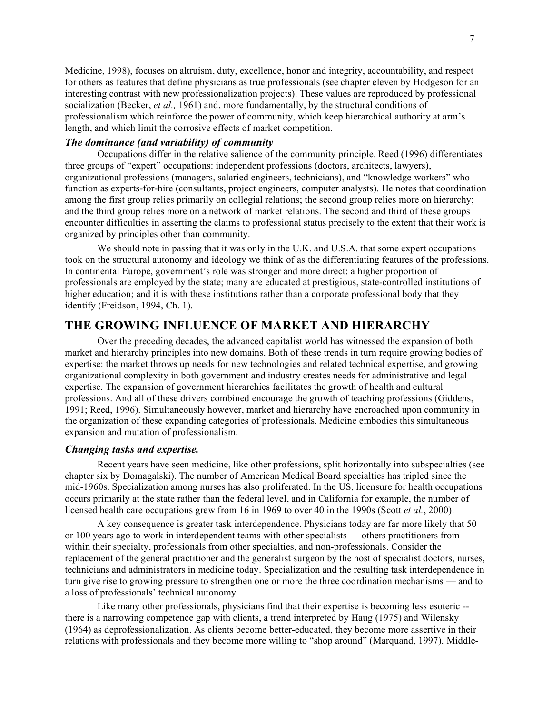Medicine, 1998), focuses on altruism, duty, excellence, honor and integrity, accountability, and respect for others as features that define physicians as true professionals (see chapter eleven by Hodgeson for an interesting contrast with new professionalization projects). These values are reproduced by professional socialization (Becker, *et al.,* 1961) and, more fundamentally, by the structural conditions of professionalism which reinforce the power of community, which keep hierarchical authority at arm's length, and which limit the corrosive effects of market competition.

### *The dominance (and variability) of community*

Occupations differ in the relative salience of the community principle. Reed (1996) differentiates three groups of "expert" occupations: independent professions (doctors, architects, lawyers), organizational professions (managers, salaried engineers, technicians), and "knowledge workers" who function as experts-for-hire (consultants, project engineers, computer analysts). He notes that coordination among the first group relies primarily on collegial relations; the second group relies more on hierarchy; and the third group relies more on a network of market relations. The second and third of these groups encounter difficulties in asserting the claims to professional status precisely to the extent that their work is organized by principles other than community.

We should note in passing that it was only in the U.K. and U.S.A. that some expert occupations took on the structural autonomy and ideology we think of as the differentiating features of the professions. In continental Europe, government's role was stronger and more direct: a higher proportion of professionals are employed by the state; many are educated at prestigious, state-controlled institutions of higher education; and it is with these institutions rather than a corporate professional body that they identify (Freidson, 1994, Ch. 1).

## **THE GROWING INFLUENCE OF MARKET AND HIERARCHY**

Over the preceding decades, the advanced capitalist world has witnessed the expansion of both market and hierarchy principles into new domains. Both of these trends in turn require growing bodies of expertise: the market throws up needs for new technologies and related technical expertise, and growing organizational complexity in both government and industry creates needs for administrative and legal expertise. The expansion of government hierarchies facilitates the growth of health and cultural professions. And all of these drivers combined encourage the growth of teaching professions (Giddens, 1991; Reed, 1996). Simultaneously however, market and hierarchy have encroached upon community in the organization of these expanding categories of professionals. Medicine embodies this simultaneous expansion and mutation of professionalism.

### *Changing tasks and expertise.*

Recent years have seen medicine, like other professions, split horizontally into subspecialties (see chapter six by Domagalski). The number of American Medical Board specialties has tripled since the mid-1960s. Specialization among nurses has also proliferated. In the US, licensure for health occupations occurs primarily at the state rather than the federal level, and in California for example, the number of licensed health care occupations grew from 16 in 1969 to over 40 in the 1990s (Scott *et al.*, 2000).

A key consequence is greater task interdependence. Physicians today are far more likely that 50 or 100 years ago to work in interdependent teams with other specialists — others practitioners from within their specialty, professionals from other specialties, and non-professionals. Consider the replacement of the general practitioner and the generalist surgeon by the host of specialist doctors, nurses, technicians and administrators in medicine today. Specialization and the resulting task interdependence in turn give rise to growing pressure to strengthen one or more the three coordination mechanisms — and to a loss of professionals' technical autonomy

Like many other professionals, physicians find that their expertise is becoming less esoteric - there is a narrowing competence gap with clients, a trend interpreted by Haug (1975) and Wilensky (1964) as deprofessionalization. As clients become better-educated, they become more assertive in their relations with professionals and they become more willing to "shop around" (Marquand, 1997). Middle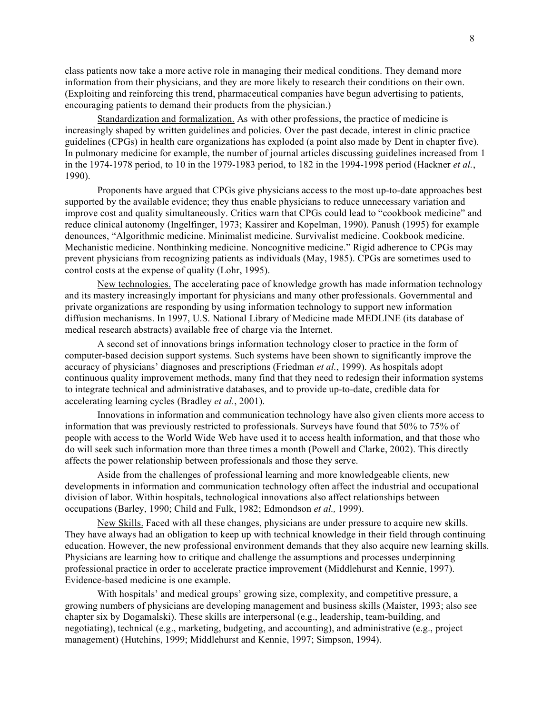class patients now take a more active role in managing their medical conditions. They demand more information from their physicians, and they are more likely to research their conditions on their own. (Exploiting and reinforcing this trend, pharmaceutical companies have begun advertising to patients, encouraging patients to demand their products from the physician.)

Standardization and formalization. As with other professions, the practice of medicine is increasingly shaped by written guidelines and policies. Over the past decade, interest in clinic practice guidelines (CPGs) in health care organizations has exploded (a point also made by Dent in chapter five). In pulmonary medicine for example, the number of journal articles discussing guidelines increased from 1 in the 1974-1978 period, to 10 in the 1979-1983 period, to 182 in the 1994-1998 period (Hackner *et al.*, 1990).

Proponents have argued that CPGs give physicians access to the most up-to-date approaches best supported by the available evidence; they thus enable physicians to reduce unnecessary variation and improve cost and quality simultaneously. Critics warn that CPGs could lead to "cookbook medicine" and reduce clinical autonomy (Ingelfinger, 1973; Kassirer and Kopelman, 1990). Panush (1995) for example denounces, "Algorithmic medicine. Minimalist medicine. Survivalist medicine. Cookbook medicine. Mechanistic medicine. Nonthinking medicine. Noncognitive medicine." Rigid adherence to CPGs may prevent physicians from recognizing patients as individuals (May, 1985). CPGs are sometimes used to control costs at the expense of quality (Lohr, 1995).

New technologies. The accelerating pace of knowledge growth has made information technology and its mastery increasingly important for physicians and many other professionals. Governmental and private organizations are responding by using information technology to support new information diffusion mechanisms. In 1997, U.S. National Library of Medicine made MEDLINE (its database of medical research abstracts) available free of charge via the Internet.

A second set of innovations brings information technology closer to practice in the form of computer-based decision support systems. Such systems have been shown to significantly improve the accuracy of physicians' diagnoses and prescriptions (Friedman *et al.*, 1999). As hospitals adopt continuous quality improvement methods, many find that they need to redesign their information systems to integrate technical and administrative databases, and to provide up-to-date, credible data for accelerating learning cycles (Bradley *et al.*, 2001).

Innovations in information and communication technology have also given clients more access to information that was previously restricted to professionals. Surveys have found that 50% to 75% of people with access to the World Wide Web have used it to access health information, and that those who do will seek such information more than three times a month (Powell and Clarke, 2002). This directly affects the power relationship between professionals and those they serve.

Aside from the challenges of professional learning and more knowledgeable clients, new developments in information and communication technology often affect the industrial and occupational division of labor. Within hospitals, technological innovations also affect relationships between occupations (Barley, 1990; Child and Fulk, 1982; Edmondson *et al.,* 1999).

New Skills. Faced with all these changes, physicians are under pressure to acquire new skills. They have always had an obligation to keep up with technical knowledge in their field through continuing education. However, the new professional environment demands that they also acquire new learning skills. Physicians are learning how to critique and challenge the assumptions and processes underpinning professional practice in order to accelerate practice improvement (Middlehurst and Kennie, 1997). Evidence-based medicine is one example.

With hospitals' and medical groups' growing size, complexity, and competitive pressure, a growing numbers of physicians are developing management and business skills (Maister, 1993; also see chapter six by Dogamalski). These skills are interpersonal (e.g., leadership, team-building, and negotiating), technical (e.g., marketing, budgeting, and accounting), and administrative (e.g., project management) (Hutchins, 1999; Middlehurst and Kennie, 1997; Simpson, 1994).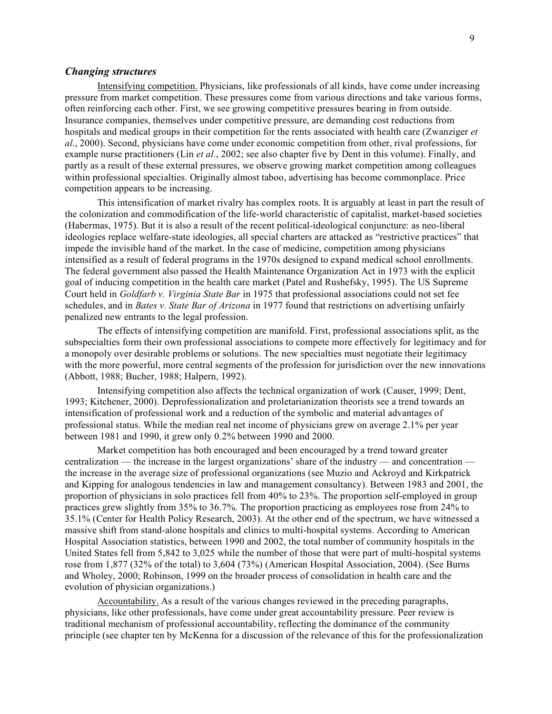#### *Changing structures*

Intensifying competition. Physicians, like professionals of all kinds, have come under increasing pressure from market competition. These pressures come from various directions and take various forms, often reinforcing each other. First, we see growing competitive pressures bearing in from outside. Insurance companies, themselves under competitive pressure, are demanding cost reductions from hospitals and medical groups in their competition for the rents associated with health care (Zwanziger *et al.*, 2000). Second, physicians have come under economic competition from other, rival professions, for example nurse practitioners (Lin *et al.*, 2002; see also chapter five by Dent in this volume). Finally, and partly as a result of these external pressures, we observe growing market competition among colleagues within professional specialties. Originally almost taboo, advertising has become commonplace. Price competition appears to be increasing.

This intensification of market rivalry has complex roots. It is arguably at least in part the result of the colonization and commodification of the life-world characteristic of capitalist, market-based societies (Habermas, 1975). But it is also a result of the recent political-ideological conjuncture: as neo-liberal ideologies replace welfare-state ideologies, all special charters are attacked as "restrictive practices" that impede the invisible hand of the market. In the case of medicine, competition among physicians intensified as a result of federal programs in the 1970s designed to expand medical school enrollments. The federal government also passed the Health Maintenance Organization Act in 1973 with the explicit goal of inducing competition in the health care market (Patel and Rushefsky, 1995). The US Supreme Court held in *Goldfarb v. Virginia State Bar* in 1975 that professional associations could not set fee schedules, and in *Bates v. State Bar of Arizona* in 1977 found that restrictions on advertising unfairly penalized new entrants to the legal profession.

The effects of intensifying competition are manifold. First, professional associations split, as the subspecialties form their own professional associations to compete more effectively for legitimacy and for a monopoly over desirable problems or solutions. The new specialties must negotiate their legitimacy with the more powerful, more central segments of the profession for jurisdiction over the new innovations (Abbott, 1988; Bucher, 1988; Halpern, 1992).

Intensifying competition also affects the technical organization of work (Causer, 1999; Dent, 1993; Kitchener, 2000). Deprofessionalization and proletarianization theorists see a trend towards an intensification of professional work and a reduction of the symbolic and material advantages of professional status. While the median real net income of physicians grew on average 2.1% per year between 1981 and 1990, it grew only 0.2% between 1990 and 2000.

Market competition has both encouraged and been encouraged by a trend toward greater centralization — the increase in the largest organizations' share of the industry — and concentration the increase in the average size of professional organizations (see Muzio and Ackroyd and Kirkpatrick and Kipping for analogous tendencies in law and management consultancy). Between 1983 and 2001, the proportion of physicians in solo practices fell from 40% to 23%. The proportion self-employed in group practices grew slightly from 35% to 36.7%. The proportion practicing as employees rose from 24% to 35.1% (Center for Health Policy Research, 2003). At the other end of the spectrum, we have witnessed a massive shift from stand-alone hospitals and clinics to multi-hospital systems. According to American Hospital Association statistics, between 1990 and 2002, the total number of community hospitals in the United States fell from 5,842 to 3,025 while the number of those that were part of multi-hospital systems rose from 1,877 (32% of the total) to 3,604 (73%) (American Hospital Association, 2004). (See Burns and Wholey, 2000; Robinson, 1999 on the broader process of consolidation in health care and the evolution of physician organizations.)

Accountability. As a result of the various changes reviewed in the preceding paragraphs, physicians, like other professionals, have come under great accountability pressure. Peer review is traditional mechanism of professional accountability, reflecting the dominance of the community principle (see chapter ten by McKenna for a discussion of the relevance of this for the professionalization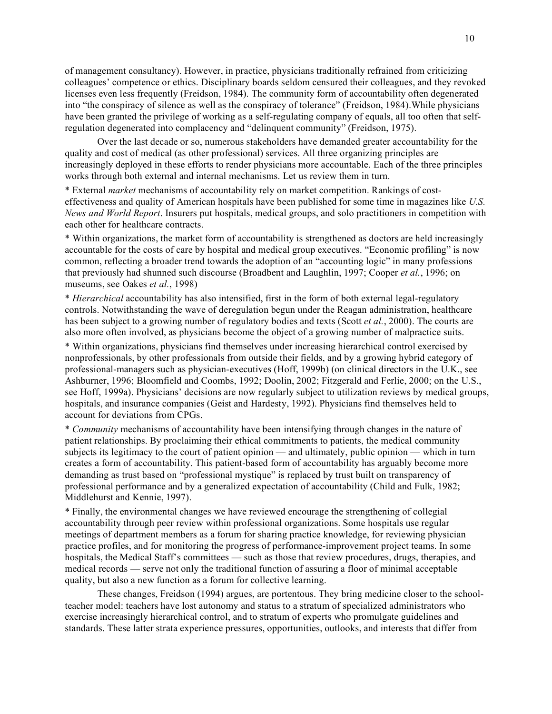of management consultancy). However, in practice, physicians traditionally refrained from criticizing colleagues' competence or ethics. Disciplinary boards seldom censured their colleagues, and they revoked licenses even less frequently (Freidson, 1984). The community form of accountability often degenerated into "the conspiracy of silence as well as the conspiracy of tolerance" (Freidson, 1984).While physicians have been granted the privilege of working as a self-regulating company of equals, all too often that selfregulation degenerated into complacency and "delinquent community" (Freidson, 1975).

Over the last decade or so, numerous stakeholders have demanded greater accountability for the quality and cost of medical (as other professional) services. All three organizing principles are increasingly deployed in these efforts to render physicians more accountable. Each of the three principles works through both external and internal mechanisms. Let us review them in turn.

\* External *market* mechanisms of accountability rely on market competition. Rankings of costeffectiveness and quality of American hospitals have been published for some time in magazines like *U.S. News and World Report*. Insurers put hospitals, medical groups, and solo practitioners in competition with each other for healthcare contracts.

\* Within organizations, the market form of accountability is strengthened as doctors are held increasingly accountable for the costs of care by hospital and medical group executives. "Economic profiling" is now common, reflecting a broader trend towards the adoption of an "accounting logic" in many professions that previously had shunned such discourse (Broadbent and Laughlin, 1997; Cooper *et al.*, 1996; on museums, see Oakes *et al.*, 1998)

\* *Hierarchical* accountability has also intensified, first in the form of both external legal-regulatory controls. Notwithstanding the wave of deregulation begun under the Reagan administration, healthcare has been subject to a growing number of regulatory bodies and texts (Scott *et al.*, 2000). The courts are also more often involved, as physicians become the object of a growing number of malpractice suits.

\* Within organizations, physicians find themselves under increasing hierarchical control exercised by nonprofessionals, by other professionals from outside their fields, and by a growing hybrid category of professional-managers such as physician-executives (Hoff, 1999b) (on clinical directors in the U.K., see Ashburner, 1996; Bloomfield and Coombs, 1992; Doolin, 2002; Fitzgerald and Ferlie, 2000; on the U.S., see Hoff, 1999a). Physicians' decisions are now regularly subject to utilization reviews by medical groups, hospitals, and insurance companies (Geist and Hardesty, 1992). Physicians find themselves held to account for deviations from CPGs.

\* *Community* mechanisms of accountability have been intensifying through changes in the nature of patient relationships. By proclaiming their ethical commitments to patients, the medical community subjects its legitimacy to the court of patient opinion — and ultimately, public opinion — which in turn creates a form of accountability. This patient-based form of accountability has arguably become more demanding as trust based on "professional mystique" is replaced by trust built on transparency of professional performance and by a generalized expectation of accountability (Child and Fulk, 1982; Middlehurst and Kennie, 1997).

\* Finally, the environmental changes we have reviewed encourage the strengthening of collegial accountability through peer review within professional organizations. Some hospitals use regular meetings of department members as a forum for sharing practice knowledge, for reviewing physician practice profiles, and for monitoring the progress of performance-improvement project teams. In some hospitals, the Medical Staff's committees — such as those that review procedures, drugs, therapies, and medical records — serve not only the traditional function of assuring a floor of minimal acceptable quality, but also a new function as a forum for collective learning.

These changes, Freidson (1994) argues, are portentous. They bring medicine closer to the schoolteacher model: teachers have lost autonomy and status to a stratum of specialized administrators who exercise increasingly hierarchical control, and to stratum of experts who promulgate guidelines and standards. These latter strata experience pressures, opportunities, outlooks, and interests that differ from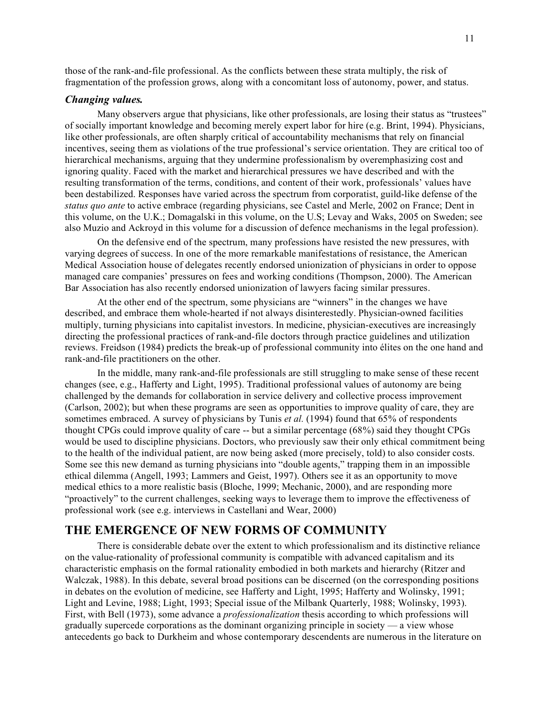those of the rank-and-file professional. As the conflicts between these strata multiply, the risk of fragmentation of the profession grows, along with a concomitant loss of autonomy, power, and status.

### *Changing values.*

Many observers argue that physicians, like other professionals, are losing their status as "trustees" of socially important knowledge and becoming merely expert labor for hire (e.g. Brint, 1994). Physicians, like other professionals, are often sharply critical of accountability mechanisms that rely on financial incentives, seeing them as violations of the true professional's service orientation. They are critical too of hierarchical mechanisms, arguing that they undermine professionalism by overemphasizing cost and ignoring quality. Faced with the market and hierarchical pressures we have described and with the resulting transformation of the terms, conditions, and content of their work, professionals' values have been destabilized. Responses have varied across the spectrum from corporatist, guild-like defense of the *status quo ante* to active embrace (regarding physicians, see Castel and Merle, 2002 on France; Dent in this volume, on the U.K.; Domagalski in this volume, on the U.S; Levay and Waks, 2005 on Sweden; see also Muzio and Ackroyd in this volume for a discussion of defence mechanisms in the legal profession).

On the defensive end of the spectrum, many professions have resisted the new pressures, with varying degrees of success. In one of the more remarkable manifestations of resistance, the American Medical Association house of delegates recently endorsed unionization of physicians in order to oppose managed care companies' pressures on fees and working conditions (Thompson, 2000). The American Bar Association has also recently endorsed unionization of lawyers facing similar pressures.

At the other end of the spectrum, some physicians are "winners" in the changes we have described, and embrace them whole-hearted if not always disinterestedly. Physician-owned facilities multiply, turning physicians into capitalist investors. In medicine, physician-executives are increasingly directing the professional practices of rank-and-file doctors through practice guidelines and utilization reviews. Freidson (1984) predicts the break-up of professional community into élites on the one hand and rank-and-file practitioners on the other.

In the middle, many rank-and-file professionals are still struggling to make sense of these recent changes (see, e.g., Hafferty and Light, 1995). Traditional professional values of autonomy are being challenged by the demands for collaboration in service delivery and collective process improvement (Carlson, 2002); but when these programs are seen as opportunities to improve quality of care, they are sometimes embraced. A survey of physicians by Tunis *et al.* (1994) found that 65% of respondents thought CPGs could improve quality of care -- but a similar percentage (68%) said they thought CPGs would be used to discipline physicians. Doctors, who previously saw their only ethical commitment being to the health of the individual patient, are now being asked (more precisely, told) to also consider costs. Some see this new demand as turning physicians into "double agents," trapping them in an impossible ethical dilemma (Angell, 1993; Lammers and Geist, 1997). Others see it as an opportunity to move medical ethics to a more realistic basis (Bloche, 1999; Mechanic, 2000), and are responding more "proactively" to the current challenges, seeking ways to leverage them to improve the effectiveness of professional work (see e.g. interviews in Castellani and Wear, 2000)

# **THE EMERGENCE OF NEW FORMS OF COMMUNITY**

There is considerable debate over the extent to which professionalism and its distinctive reliance on the value-rationality of professional community is compatible with advanced capitalism and its characteristic emphasis on the formal rationality embodied in both markets and hierarchy (Ritzer and Walczak, 1988). In this debate, several broad positions can be discerned (on the corresponding positions in debates on the evolution of medicine, see Hafferty and Light, 1995; Hafferty and Wolinsky, 1991; Light and Levine, 1988; Light, 1993; Special issue of the Milbank Quarterly, 1988; Wolinsky, 1993). First, with Bell (1973), some advance a *professionalization* thesis according to which professions will gradually supercede corporations as the dominant organizing principle in society — a view whose antecedents go back to Durkheim and whose contemporary descendents are numerous in the literature on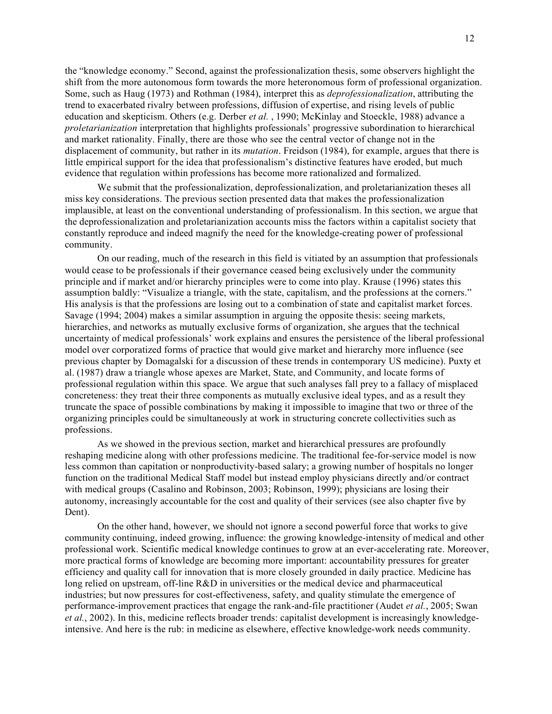the "knowledge economy." Second, against the professionalization thesis, some observers highlight the shift from the more autonomous form towards the more heteronomous form of professional organization. Some, such as Haug (1973) and Rothman (1984), interpret this as *deprofessionalization*, attributing the trend to exacerbated rivalry between professions, diffusion of expertise, and rising levels of public education and skepticism. Others (e.g. Derber *et al.* , 1990; McKinlay and Stoeckle, 1988) advance a *proletarianization* interpretation that highlights professionals' progressive subordination to hierarchical and market rationality. Finally, there are those who see the central vector of change not in the displacement of community, but rather in its *mutation*. Freidson (1984), for example, argues that there is little empirical support for the idea that professionalism's distinctive features have eroded, but much evidence that regulation within professions has become more rationalized and formalized.

We submit that the professionalization, deprofessionalization, and proletarianization theses all miss key considerations. The previous section presented data that makes the professionalization implausible, at least on the conventional understanding of professionalism. In this section, we argue that the deprofessionalization and proletarianization accounts miss the factors within a capitalist society that constantly reproduce and indeed magnify the need for the knowledge-creating power of professional community.

On our reading, much of the research in this field is vitiated by an assumption that professionals would cease to be professionals if their governance ceased being exclusively under the community principle and if market and/or hierarchy principles were to come into play. Krause (1996) states this assumption baldly: "Visualize a triangle, with the state, capitalism, and the professions at the corners." His analysis is that the professions are losing out to a combination of state and capitalist market forces. Savage (1994; 2004) makes a similar assumption in arguing the opposite thesis: seeing markets, hierarchies, and networks as mutually exclusive forms of organization, she argues that the technical uncertainty of medical professionals' work explains and ensures the persistence of the liberal professional model over corporatized forms of practice that would give market and hierarchy more influence (see previous chapter by Domagalski for a discussion of these trends in contemporary US medicine). Puxty et al. (1987) draw a triangle whose apexes are Market, State, and Community, and locate forms of professional regulation within this space. We argue that such analyses fall prey to a fallacy of misplaced concreteness: they treat their three components as mutually exclusive ideal types, and as a result they truncate the space of possible combinations by making it impossible to imagine that two or three of the organizing principles could be simultaneously at work in structuring concrete collectivities such as professions.

As we showed in the previous section, market and hierarchical pressures are profoundly reshaping medicine along with other professions medicine. The traditional fee-for-service model is now less common than capitation or nonproductivity-based salary; a growing number of hospitals no longer function on the traditional Medical Staff model but instead employ physicians directly and/or contract with medical groups (Casalino and Robinson, 2003; Robinson, 1999); physicians are losing their autonomy, increasingly accountable for the cost and quality of their services (see also chapter five by Dent).

On the other hand, however, we should not ignore a second powerful force that works to give community continuing, indeed growing, influence: the growing knowledge-intensity of medical and other professional work. Scientific medical knowledge continues to grow at an ever-accelerating rate. Moreover, more practical forms of knowledge are becoming more important: accountability pressures for greater efficiency and quality call for innovation that is more closely grounded in daily practice. Medicine has long relied on upstream, off-line R&D in universities or the medical device and pharmaceutical industries; but now pressures for cost-effectiveness, safety, and quality stimulate the emergence of performance-improvement practices that engage the rank-and-file practitioner (Audet *et al.*, 2005; Swan *et al.*, 2002). In this, medicine reflects broader trends: capitalist development is increasingly knowledgeintensive. And here is the rub: in medicine as elsewhere, effective knowledge-work needs community.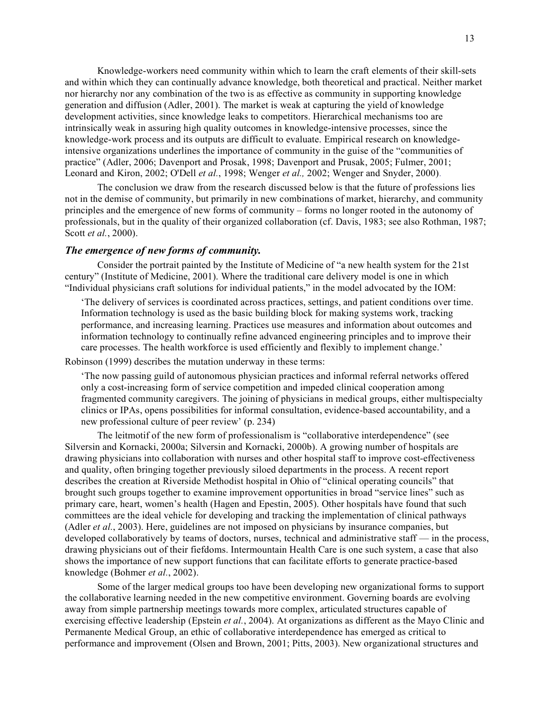Knowledge-workers need community within which to learn the craft elements of their skill-sets and within which they can continually advance knowledge, both theoretical and practical. Neither market nor hierarchy nor any combination of the two is as effective as community in supporting knowledge generation and diffusion (Adler, 2001). The market is weak at capturing the yield of knowledge development activities, since knowledge leaks to competitors. Hierarchical mechanisms too are intrinsically weak in assuring high quality outcomes in knowledge-intensive processes, since the knowledge-work process and its outputs are difficult to evaluate. Empirical research on knowledgeintensive organizations underlines the importance of community in the guise of the "communities of practice" (Adler, 2006; Davenport and Prosak, 1998; Davenport and Prusak, 2005; Fulmer, 2001; Leonard and Kiron, 2002; O'Dell *et al.*, 1998; Wenger *et al.,* 2002; Wenger and Snyder, 2000).

The conclusion we draw from the research discussed below is that the future of professions lies not in the demise of community, but primarily in new combinations of market, hierarchy, and community principles and the emergence of new forms of community – forms no longer rooted in the autonomy of professionals, but in the quality of their organized collaboration (cf. Davis, 1983; see also Rothman, 1987; Scott *et al.*, 2000).

### *The emergence of new forms of community.*

Consider the portrait painted by the Institute of Medicine of "a new health system for the 21st century" (Institute of Medicine, 2001). Where the traditional care delivery model is one in which "Individual physicians craft solutions for individual patients," in the model advocated by the IOM:

'The delivery of services is coordinated across practices, settings, and patient conditions over time. Information technology is used as the basic building block for making systems work, tracking performance, and increasing learning. Practices use measures and information about outcomes and information technology to continually refine advanced engineering principles and to improve their care processes. The health workforce is used efficiently and flexibly to implement change.'

Robinson (1999) describes the mutation underway in these terms:

'The now passing guild of autonomous physician practices and informal referral networks offered only a cost-increasing form of service competition and impeded clinical cooperation among fragmented community caregivers. The joining of physicians in medical groups, either multispecialty clinics or IPAs, opens possibilities for informal consultation, evidence-based accountability, and a new professional culture of peer review' (p. 234)

The leitmotif of the new form of professionalism is "collaborative interdependence" (see Silversin and Kornacki, 2000a; Silversin and Kornacki, 2000b). A growing number of hospitals are drawing physicians into collaboration with nurses and other hospital staff to improve cost-effectiveness and quality, often bringing together previously siloed departments in the process. A recent report describes the creation at Riverside Methodist hospital in Ohio of "clinical operating councils" that brought such groups together to examine improvement opportunities in broad "service lines" such as primary care, heart, women's health (Hagen and Epestin, 2005). Other hospitals have found that such committees are the ideal vehicle for developing and tracking the implementation of clinical pathways (Adler *et al.*, 2003). Here, guidelines are not imposed on physicians by insurance companies, but developed collaboratively by teams of doctors, nurses, technical and administrative staff — in the process, drawing physicians out of their fiefdoms. Intermountain Health Care is one such system, a case that also shows the importance of new support functions that can facilitate efforts to generate practice-based knowledge (Bohmer *et al.*, 2002).

Some of the larger medical groups too have been developing new organizational forms to support the collaborative learning needed in the new competitive environment. Governing boards are evolving away from simple partnership meetings towards more complex, articulated structures capable of exercising effective leadership (Epstein *et al.*, 2004). At organizations as different as the Mayo Clinic and Permanente Medical Group, an ethic of collaborative interdependence has emerged as critical to performance and improvement (Olsen and Brown, 2001; Pitts, 2003). New organizational structures and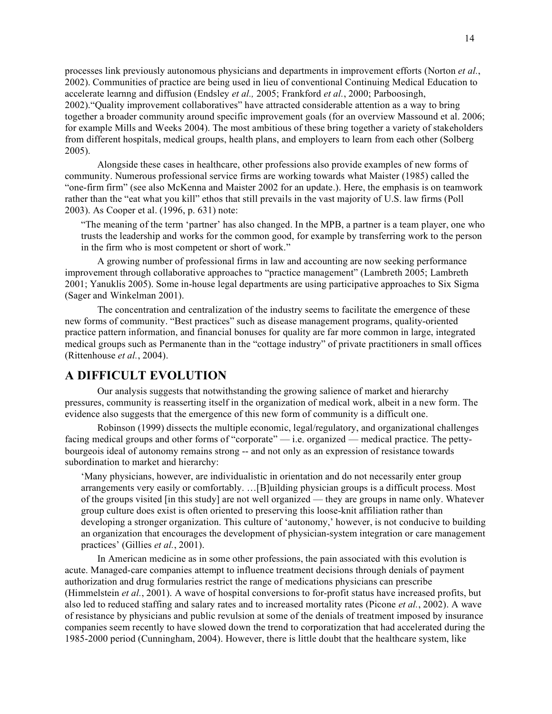processes link previously autonomous physicians and departments in improvement efforts (Norton *et al.*, 2002). Communities of practice are being used in lieu of conventional Continuing Medical Education to accelerate learnng and diffusion (Endsley *et al.,* 2005; Frankford *et al.*, 2000; Parboosingh, 2002)."Quality improvement collaboratives" have attracted considerable attention as a way to bring together a broader community around specific improvement goals (for an overview Massound et al. 2006; for example Mills and Weeks 2004). The most ambitious of these bring together a variety of stakeholders from different hospitals, medical groups, health plans, and employers to learn from each other (Solberg 2005).

Alongside these cases in healthcare, other professions also provide examples of new forms of community. Numerous professional service firms are working towards what Maister (1985) called the "one-firm firm" (see also McKenna and Maister 2002 for an update.). Here, the emphasis is on teamwork rather than the "eat what you kill" ethos that still prevails in the vast majority of U.S. law firms (Poll 2003). As Cooper et al. (1996, p. 631) note:

"The meaning of the term 'partner' has also changed. In the MPB, a partner is a team player, one who trusts the leadership and works for the common good, for example by transferring work to the person in the firm who is most competent or short of work."

A growing number of professional firms in law and accounting are now seeking performance improvement through collaborative approaches to "practice management" (Lambreth 2005; Lambreth 2001; Yanuklis 2005). Some in-house legal departments are using participative approaches to Six Sigma (Sager and Winkelman 2001).

The concentration and centralization of the industry seems to facilitate the emergence of these new forms of community. "Best practices" such as disease management programs, quality-oriented practice pattern information, and financial bonuses for quality are far more common in large, integrated medical groups such as Permanente than in the "cottage industry" of private practitioners in small offices (Rittenhouse *et al.*, 2004).

### **A DIFFICULT EVOLUTION**

Our analysis suggests that notwithstanding the growing salience of market and hierarchy pressures, community is reasserting itself in the organization of medical work, albeit in a new form. The evidence also suggests that the emergence of this new form of community is a difficult one.

Robinson (1999) dissects the multiple economic, legal/regulatory, and organizational challenges facing medical groups and other forms of "corporate" — i.e. organized — medical practice. The pettybourgeois ideal of autonomy remains strong -- and not only as an expression of resistance towards subordination to market and hierarchy:

'Many physicians, however, are individualistic in orientation and do not necessarily enter group arrangements very easily or comfortably. …[B]uilding physician groups is a difficult process. Most of the groups visited [in this study] are not well organized — they are groups in name only. Whatever group culture does exist is often oriented to preserving this loose-knit affiliation rather than developing a stronger organization. This culture of 'autonomy,' however, is not conducive to building an organization that encourages the development of physician-system integration or care management practices' (Gillies *et al.*, 2001).

In American medicine as in some other professions, the pain associated with this evolution is acute. Managed-care companies attempt to influence treatment decisions through denials of payment authorization and drug formularies restrict the range of medications physicians can prescribe (Himmelstein *et al.*, 2001). A wave of hospital conversions to for-profit status have increased profits, but also led to reduced staffing and salary rates and to increased mortality rates (Picone *et al.*, 2002). A wave of resistance by physicians and public revulsion at some of the denials of treatment imposed by insurance companies seem recently to have slowed down the trend to corporatization that had accelerated during the 1985-2000 period (Cunningham, 2004). However, there is little doubt that the healthcare system, like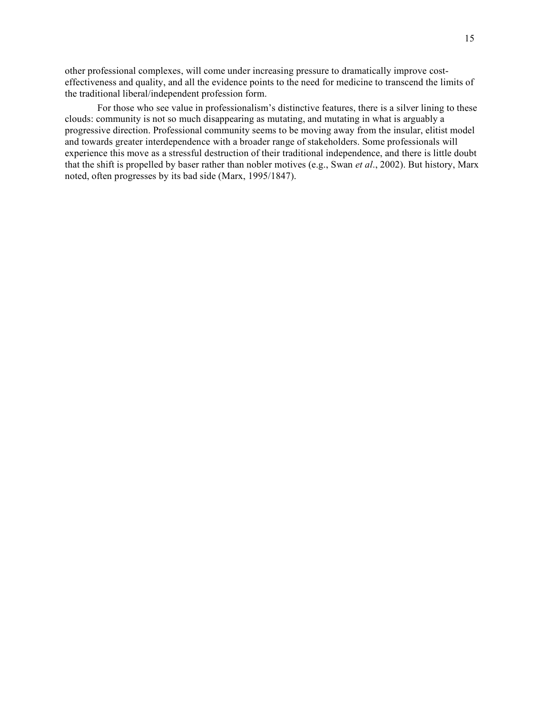other professional complexes, will come under increasing pressure to dramatically improve costeffectiveness and quality, and all the evidence points to the need for medicine to transcend the limits of the traditional liberal/independent profession form.

For those who see value in professionalism's distinctive features, there is a silver lining to these clouds: community is not so much disappearing as mutating, and mutating in what is arguably a progressive direction. Professional community seems to be moving away from the insular, elitist model and towards greater interdependence with a broader range of stakeholders. Some professionals will experience this move as a stressful destruction of their traditional independence, and there is little doubt that the shift is propelled by baser rather than nobler motives (e.g., Swan *et al*., 2002). But history, Marx noted, often progresses by its bad side (Marx, 1995/1847).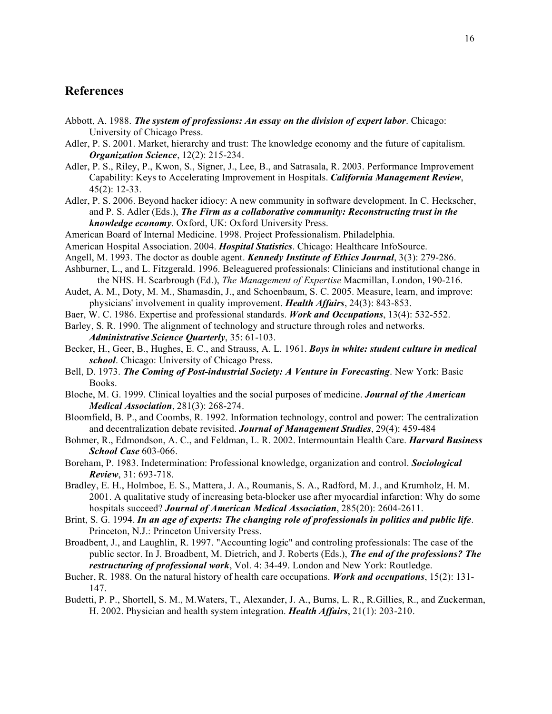## **References**

- Abbott, A. 1988. *The system of professions: An essay on the division of expert labor*. Chicago: University of Chicago Press.
- Adler, P. S. 2001. Market, hierarchy and trust: The knowledge economy and the future of capitalism. *Organization Science*, 12(2): 215-234.
- Adler, P. S., Riley, P., Kwon, S., Signer, J., Lee, B., and Satrasala, R. 2003. Performance Improvement Capability: Keys to Accelerating Improvement in Hospitals. *California Management Review*, 45(2): 12-33.
- Adler, P. S. 2006. Beyond hacker idiocy: A new community in software development. In C. Heckscher, and P. S. Adler (Eds.), *The Firm as a collaborative community: Reconstructing trust in the knowledge economy*. Oxford, UK: Oxford University Press.
- American Board of Internal Medicine. 1998. Project Professionalism. Philadelphia.
- American Hospital Association. 2004. *Hospital Statistics*. Chicago: Healthcare InfoSource.
- Angell, M. 1993. The doctor as double agent. *Kennedy Institute of Ethics Journal*, 3(3): 279-286.
- Ashburner, L., and L. Fitzgerald. 1996. Beleaguered professionals: Clinicians and institutional change in the NHS. H. Scarbrough (Ed.), *The Management of Expertise* Macmillan, London, 190-216.
- Audet, A. M., Doty, M. M., Shamasdin, J., and Schoenbaum, S. C. 2005. Measure, learn, and improve: physicians' involvement in quality improvement. *Health Affairs*, 24(3): 843-853.
- Baer, W. C. 1986. Expertise and professional standards. *Work and Occupations*, 13(4): 532-552.
- Barley, S. R. 1990. The alignment of technology and structure through roles and networks. *Administrative Science Quarterly*, 35: 61-103.
- Becker, H., Geer, B., Hughes, E. C., and Strauss, A. L. 1961. *Boys in white: student culture in medical school*. Chicago: University of Chicago Press.
- Bell, D. 1973. *The Coming of Post-industrial Society: A Venture in Forecasting*. New York: Basic Books.
- Bloche, M. G. 1999. Clinical loyalties and the social purposes of medicine. *Journal of the American Medical Association*, 281(3): 268-274.
- Bloomfield, B. P., and Coombs, R. 1992. Information technology, control and power: The centralization and decentralization debate revisited. *Journal of Management Studies*, 29(4): 459-484
- Bohmer, R., Edmondson, A. C., and Feldman, L. R. 2002. Intermountain Health Care. *Harvard Business School Case* 603-066.
- Boreham, P. 1983. Indetermination: Professional knowledge, organization and control. *Sociological Review*, 31: 693-718.
- Bradley, E. H., Holmboe, E. S., Mattera, J. A., Roumanis, S. A., Radford, M. J., and Krumholz, H. M. 2001. A qualitative study of increasing beta-blocker use after myocardial infarction: Why do some hospitals succeed? *Journal of American Medical Association*, 285(20): 2604-2611.
- Brint, S. G. 1994. *In an age of experts: The changing role of professionals in politics and public life*. Princeton, N.J.: Princeton University Press.
- Broadbent, J., and Laughlin, R. 1997. "Accounting logic" and controling professionals: The case of the public sector. In J. Broadbent, M. Dietrich, and J. Roberts (Eds.), *The end of the professions? The restructuring of professional work*, Vol. 4: 34-49. London and New York: Routledge.
- Bucher, R. 1988. On the natural history of health care occupations. *Work and occupations*, 15(2): 131- 147.
- Budetti, P. P., Shortell, S. M., M.Waters, T., Alexander, J. A., Burns, L. R., R.Gillies, R., and Zuckerman, H. 2002. Physician and health system integration. *Health Affairs*, 21(1): 203-210.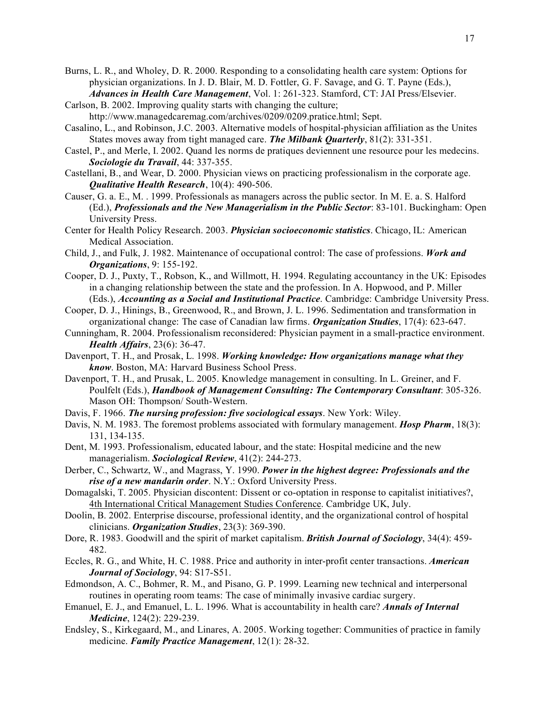- Burns, L. R., and Wholey, D. R. 2000. Responding to a consolidating health care system: Options for physician organizations. In J. D. Blair, M. D. Fottler, G. F. Savage, and G. T. Payne (Eds.), *Advances in Health Care Management*, Vol. 1: 261-323. Stamford, CT: JAI Press/Elsevier.
- Carlson, B. 2002. Improving quality starts with changing the culture; http://www.managedcaremag.com/archives/0209/0209.pratice.html; Sept.
- Casalino, L., and Robinson, J.C. 2003. Alternative models of hospital-physician affiliation as the Unites States moves away from tight managed care. *The Milbank Quarterly*, 81(2): 331-351.
- Castel, P., and Merle, I. 2002. Quand les norms de pratiques deviennent une resource pour les medecins. *Sociologie du Travail*, 44: 337-355.
- Castellani, B., and Wear, D. 2000. Physician views on practicing professionalism in the corporate age. *Qualitative Health Research*, 10(4): 490-506.
- Causer, G. a. E., M. . 1999. Professionals as managers across the public sector. In M. E. a. S. Halford (Ed.), *Professionals and the New Managerialism in the Public Sector*: 83-101. Buckingham: Open University Press.
- Center for Health Policy Research. 2003. *Physician socioeconomic statistics*. Chicago, IL: American Medical Association.
- Child, J., and Fulk, J. 1982. Maintenance of occupational control: The case of professions. *Work and Organizations*, 9: 155-192.
- Cooper, D. J., Puxty, T., Robson, K., and Willmott, H. 1994. Regulating accountancy in the UK: Episodes in a changing relationship between the state and the profession. In A. Hopwood, and P. Miller (Eds.), *Accounting as a Social and Institutional Practice*. Cambridge: Cambridge University Press.
- Cooper, D. J., Hinings, B., Greenwood, R., and Brown, J. L. 1996. Sedimentation and transformation in organizational change: The case of Canadian law firms. *Organization Studies*, 17(4): 623-647.
- Cunningham, R. 2004. Professionalism reconsidered: Physician payment in a small-practice environment. *Health Affairs*, 23(6): 36-47.
- Davenport, T. H., and Prosak, L. 1998. *Working knowledge: How organizations manage what they know*. Boston, MA: Harvard Business School Press.
- Davenport, T. H., and Prusak, L. 2005. Knowledge management in consulting. In L. Greiner, and F. Poulfelt (Eds.), *Handbook of Management Consulting: The Contemporary Consultant*: 305-326. Mason OH: Thompson/ South-Western.
- Davis, F. 1966. *The nursing profession: five sociological essays*. New York: Wiley.
- Davis, N. M. 1983. The foremost problems associated with formulary management. *Hosp Pharm*, 18(3): 131, 134-135.
- Dent, M. 1993. Professionalism, educated labour, and the state: Hospital medicine and the new managerialism. *Sociological Review*, 41(2): 244-273.
- Derber, C., Schwartz, W., and Magrass, Y. 1990. *Power in the highest degree: Professionals and the rise of a new mandarin order*. N.Y.: Oxford University Press.
- Domagalski, T. 2005. Physician discontent: Dissent or co-optation in response to capitalist initiatives?, 4th International Critical Management Studies Conference. Cambridge UK, July.
- Doolin, B. 2002. Enterprise discourse, professional identity, and the organizational control of hospital clinicians. *Organization Studies*, 23(3): 369-390.
- Dore, R. 1983. Goodwill and the spirit of market capitalism. *British Journal of Sociology*, 34(4): 459- 482.
- Eccles, R. G., and White, H. C. 1988. Price and authority in inter-profit center transactions. *American Journal of Sociology*, 94: S17-S51.
- Edmondson, A. C., Bohmer, R. M., and Pisano, G. P. 1999. Learning new technical and interpersonal routines in operating room teams: The case of minimally invasive cardiac surgery.
- Emanuel, E. J., and Emanuel, L. L. 1996. What is accountability in health care? *Annals of Internal Medicine*, 124(2): 229-239.
- Endsley, S., Kirkegaard, M., and Linares, A. 2005. Working together: Communities of practice in family medicine. *Family Practice Management*, 12(1): 28-32.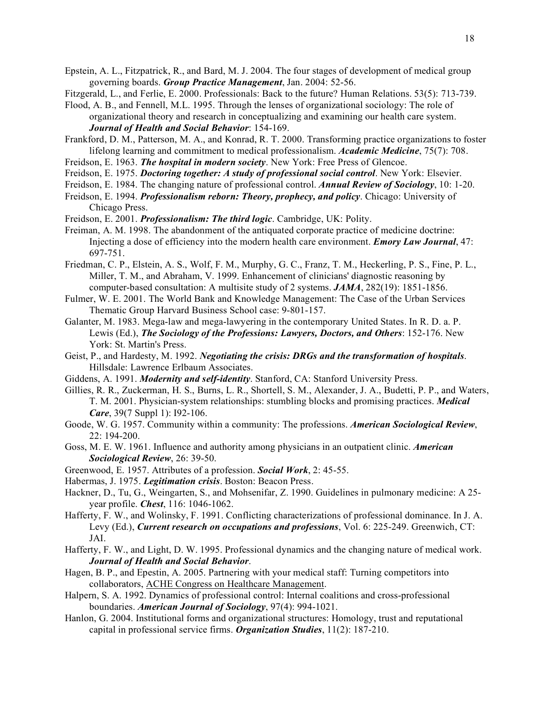- Epstein, A. L., Fitzpatrick, R., and Bard, M. J. 2004. The four stages of development of medical group governing boards. *Group Practice Management*, Jan. 2004: 52-56.
- Fitzgerald, L., and Ferlie, E. 2000. Professionals: Back to the future? Human Relations. 53(5): 713-739.
- Flood, A. B., and Fennell, M.L. 1995. Through the lenses of organizational sociology: The role of organizational theory and research in conceptualizing and examining our health care system. *Journal of Health and Social Behavior*: 154-169.
- Frankford, D. M., Patterson, M. A., and Konrad, R. T. 2000. Transforming practice organizations to foster lifelong learning and commitment to medical professionalism. *Academic Medicine*, 75(7): 708.
- Freidson, E. 1963. *The hospital in modern society*. New York: Free Press of Glencoe.
- Freidson, E. 1975. *Doctoring together: A study of professional social control*. New York: Elsevier.
- Freidson, E. 1984. The changing nature of professional control. *Annual Review of Sociology*, 10: 1-20.
- Freidson, E. 1994. *Professionalism reborn: Theory, prophecy, and policy*. Chicago: University of Chicago Press.
- Freidson, E. 2001. *Professionalism: The third logic*. Cambridge, UK: Polity.
- Freiman, A. M. 1998. The abandonment of the antiquated corporate practice of medicine doctrine: Injecting a dose of efficiency into the modern health care environment. *Emory Law Journal*, 47: 697-751.
- Friedman, C. P., Elstein, A. S., Wolf, F. M., Murphy, G. C., Franz, T. M., Heckerling, P. S., Fine, P. L., Miller, T. M., and Abraham, V. 1999. Enhancement of clinicians' diagnostic reasoning by computer-based consultation: A multisite study of 2 systems. *JAMA*, 282(19): 1851-1856.
- Fulmer, W. E. 2001. The World Bank and Knowledge Management: The Case of the Urban Services Thematic Group Harvard Business School case: 9-801-157.
- Galanter, M. 1983. Mega-law and mega-lawyering in the contemporary United States. In R. D. a. P. Lewis (Ed.), *The Sociology of the Professions: Lawyers, Doctors, and Others*: 152-176. New York: St. Martin's Press.
- Geist, P., and Hardesty, M. 1992. *Negotiating the crisis: DRGs and the transformation of hospitals*. Hillsdale: Lawrence Erlbaum Associates.
- Giddens, A. 1991. *Modernity and self-identity*. Stanford, CA: Stanford University Press.
- Gillies, R. R., Zuckerman, H. S., Burns, L. R., Shortell, S. M., Alexander, J. A., Budetti, P. P., and Waters, T. M. 2001. Physician-system relationships: stumbling blocks and promising practices. *Medical Care*, 39(7 Suppl 1): I92-106.
- Goode, W. G. 1957. Community within a community: The professions. *American Sociological Review*, 22: 194-200.
- Goss, M. E. W. 1961. Influence and authority among physicians in an outpatient clinic. *American Sociological Review*, 26: 39-50.
- Greenwood, E. 1957. Attributes of a profession. *Social Work*, 2: 45-55.
- Habermas, J. 1975. *Legitimation crisis*. Boston: Beacon Press.
- Hackner, D., Tu, G., Weingarten, S., and Mohsenifar, Z. 1990. Guidelines in pulmonary medicine: A 25 year profile. *Chest*, 116: 1046-1062.
- Hafferty, F. W., and Wolinsky, F. 1991. Conflicting characterizations of professional dominance. In J. A. Levy (Ed.), *Current research on occupations and professions*, Vol. 6: 225-249. Greenwich, CT: JAI.
- Hafferty, F. W., and Light, D. W. 1995. Professional dynamics and the changing nature of medical work. *Journal of Health and Social Behavior*.
- Hagen, B. P., and Epestin, A. 2005. Partnering with your medical staff: Turning competitors into collaborators, ACHE Congress on Healthcare Management.
- Halpern, S. A. 1992. Dynamics of professional control: Internal coalitions and cross-professional boundaries. *American Journal of Sociology*, 97(4): 994-1021.
- Hanlon, G. 2004. Institutional forms and organizational structures: Homology, trust and reputational capital in professional service firms. *Organization Studies*, 11(2): 187-210.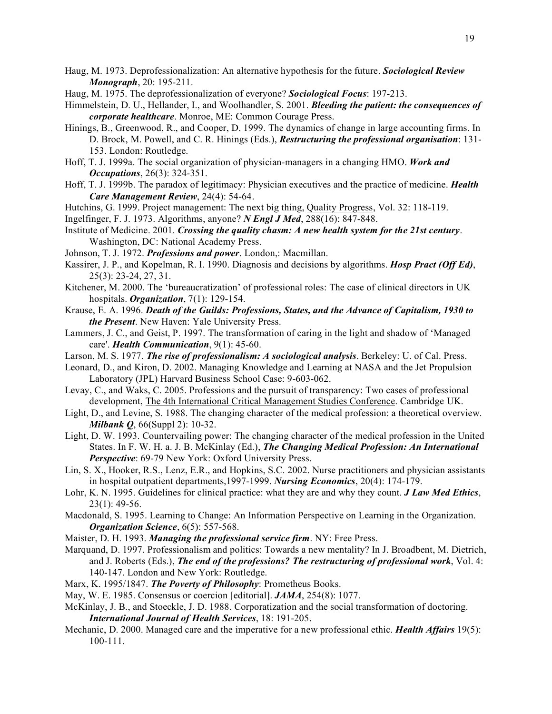- Haug, M. 1973. Deprofessionalization: An alternative hypothesis for the future. *Sociological Review Monograph*, 20: 195-211.
- Haug, M. 1975. The deprofessionalization of everyone? *Sociological Focus*: 197-213.
- Himmelstein, D. U., Hellander, I., and Woolhandler, S. 2001. *Bleeding the patient: the consequences of corporate healthcare*. Monroe, ME: Common Courage Press.
- Hinings, B., Greenwood, R., and Cooper, D. 1999. The dynamics of change in large accounting firms. In D. Brock, M. Powell, and C. R. Hinings (Eds.), *Restructuring the professional organisation*: 131- 153. London: Routledge.
- Hoff, T. J. 1999a. The social organization of physician-managers in a changing HMO. *Work and Occupations*, 26(3): 324-351.
- Hoff, T. J. 1999b. The paradox of legitimacy: Physician executives and the practice of medicine. *Health Care Management Review*, 24(4): 54-64.
- Hutchins, G. 1999. Project management: The next big thing, Quality Progress, Vol. 32: 118-119.
- Ingelfinger, F. J. 1973. Algorithms, anyone? *N Engl J Med*, 288(16): 847-848.
- Institute of Medicine. 2001. *Crossing the quality chasm: A new health system for the 21st century*. Washington, DC: National Academy Press.
- Johnson, T. J. 1972. *Professions and power*. London,: Macmillan.
- Kassirer, J. P., and Kopelman, R. I. 1990. Diagnosis and decisions by algorithms. *Hosp Pract (Off Ed)*, 25(3): 23-24, 27, 31.
- Kitchener, M. 2000. The 'bureaucratization' of professional roles: The case of clinical directors in UK hospitals. *Organization*, 7(1): 129-154.
- Krause, E. A. 1996. *Death of the Guilds: Professions, States, and the Advance of Capitalism, 1930 to the Present*. New Haven: Yale University Press.
- Lammers, J. C., and Geist, P. 1997. The transformation of caring in the light and shadow of 'Managed care'. *Health Communication*, 9(1): 45-60.
- Larson, M. S. 1977. *The rise of professionalism: A sociological analysis*. Berkeley: U. of Cal. Press.
- Leonard, D., and Kiron, D. 2002. Managing Knowledge and Learning at NASA and the Jet Propulsion Laboratory (JPL) Harvard Business School Case: 9-603-062.
- Levay, C., and Waks, C. 2005. Professions and the pursuit of transparency: Two cases of professional development, The 4th International Critical Management Studies Conference. Cambridge UK.
- Light, D., and Levine, S. 1988. The changing character of the medical profession: a theoretical overview. *Milbank Q*, 66(Suppl 2): 10-32.
- Light, D. W. 1993. Countervailing power: The changing character of the medical profession in the United States. In F. W. H. a. J. B. McKinlay (Ed.), *The Changing Medical Profession: An International Perspective*: 69-79 New York: Oxford University Press.
- Lin, S. X., Hooker, R.S., Lenz, E.R., and Hopkins, S.C. 2002. Nurse practitioners and physician assistants in hospital outpatient departments,1997-1999. *Nursing Economics*, 20(4): 174-179.
- Lohr, K. N. 1995. Guidelines for clinical practice: what they are and why they count. *J Law Med Ethics*, 23(1): 49-56.
- Macdonald, S. 1995. Learning to Change: An Information Perspective on Learning in the Organization. *Organization Science*, 6(5): 557-568.
- Maister, D. H. 1993. *Managing the professional service firm*. NY: Free Press.
- Marquand, D. 1997. Professionalism and politics: Towards a new mentality? In J. Broadbent, M. Dietrich, and J. Roberts (Eds.), *The end of the professions? The restructuring of professional work*, Vol. 4: 140-147. London and New York: Routledge.
- Marx, K. 1995/1847. *The Poverty of Philosophy*: Prometheus Books.
- May, W. E. 1985. Consensus or coercion [editorial]. *JAMA*, 254(8): 1077.
- McKinlay, J. B., and Stoeckle, J. D. 1988. Corporatization and the social transformation of doctoring. *International Journal of Health Services*, 18: 191-205.
- Mechanic, D. 2000. Managed care and the imperative for a new professional ethic. *Health Affairs* 19(5): 100-111.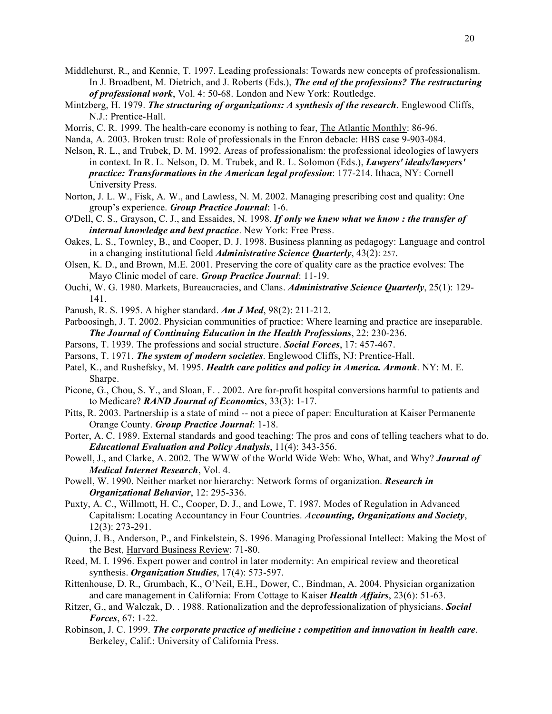- Middlehurst, R., and Kennie, T. 1997. Leading professionals: Towards new concepts of professionalism. In J. Broadbent, M. Dietrich, and J. Roberts (Eds.), *The end of the professions? The restructuring of professional work*, Vol. 4: 50-68. London and New York: Routledge.
- Mintzberg, H. 1979. *The structuring of organizations: A synthesis of the research*. Englewood Cliffs, N.J.: Prentice-Hall.
- Morris, C. R. 1999. The health-care economy is nothing to fear, The Atlantic Monthly: 86-96.
- Nanda, A. 2003. Broken trust: Role of professionals in the Enron debacle: HBS case 9-903-084.
- Nelson, R. L., and Trubek, D. M. 1992. Areas of professionalism: the professional ideologies of lawyers in context. In R. L. Nelson, D. M. Trubek, and R. L. Solomon (Eds.), *Lawyers' ideals/lawyers' practice: Transformations in the American legal profession*: 177-214. Ithaca, NY: Cornell University Press.
- Norton, J. L. W., Fisk, A. W., and Lawless, N. M. 2002. Managing prescribing cost and quality: One group's experience. *Group Practice Journal*: 1-6.
- O'Dell, C. S., Grayson, C. J., and Essaides, N. 1998. *If only we knew what we know : the transfer of internal knowledge and best practice*. New York: Free Press.
- Oakes, L. S., Townley, B., and Cooper, D. J. 1998. Business planning as pedagogy: Language and control in a changing institutional field *Administrative Science Quarterly*, 43(2): 257.
- Olsen, K. D., and Brown, M.E. 2001. Preserving the core of quality care as the practice evolves: The Mayo Clinic model of care. *Group Practice Journal*: 11-19.
- Ouchi, W. G. 1980. Markets, Bureaucracies, and Clans. *Administrative Science Quarterly*, 25(1): 129- 141.
- Panush, R. S. 1995. A higher standard. *Am J Med*, 98(2): 211-212.
- Parboosingh, J. T. 2002. Physician communities of practice: Where learning and practice are inseparable. *The Journal of Continuing Education in the Health Professions*, 22: 230-236.
- Parsons, T. 1939. The professions and social structure. *Social Forces*, 17: 457-467.
- Parsons, T. 1971. *The system of modern societies*. Englewood Cliffs, NJ: Prentice-Hall.
- Patel, K., and Rushefsky, M. 1995. *Health care politics and policy in America. Armonk*. NY: M. E. Sharpe.
- Picone, G., Chou, S. Y., and Sloan, F. . 2002. Are for-profit hospital conversions harmful to patients and to Medicare? *RAND Journal of Economics*, 33(3): 1-17.
- Pitts, R. 2003. Partnership is a state of mind -- not a piece of paper: Enculturation at Kaiser Permanente Orange County. *Group Practice Journal*: 1-18.
- Porter, A. C. 1989. External standards and good teaching: The pros and cons of telling teachers what to do. *Educational Evaluation and Policy Analysis*, 11(4): 343-356.
- Powell, J., and Clarke, A. 2002. The WWW of the World Wide Web: Who, What, and Why? *Journal of Medical Internet Research*, Vol. 4.
- Powell, W. 1990. Neither market nor hierarchy: Network forms of organization. *Research in Organizational Behavior*, 12: 295-336.
- Puxty, A. C., Willmott, H. C., Cooper, D. J., and Lowe, T. 1987. Modes of Regulation in Advanced Capitalism: Locating Accountancy in Four Countries. *Accounting, Organizations and Society*, 12(3): 273-291.
- Quinn, J. B., Anderson, P., and Finkelstein, S. 1996. Managing Professional Intellect: Making the Most of the Best, Harvard Business Review: 71-80.
- Reed, M. I. 1996. Expert power and control in later modernity: An empirical review and theoretical synthesis. *Organization Studies*, 17(4): 573-597.
- Rittenhouse, D. R., Grumbach, K., O'Neil, E.H., Dower, C., Bindman, A. 2004. Physician organization and care management in California: From Cottage to Kaiser *Health Affairs*, 23(6): 51-63.
- Ritzer, G., and Walczak, D. . 1988. Rationalization and the deprofessionalization of physicians. *Social Forces*, 67: 1-22.
- Robinson, J. C. 1999. *The corporate practice of medicine : competition and innovation in health care*. Berkeley, Calif.: University of California Press.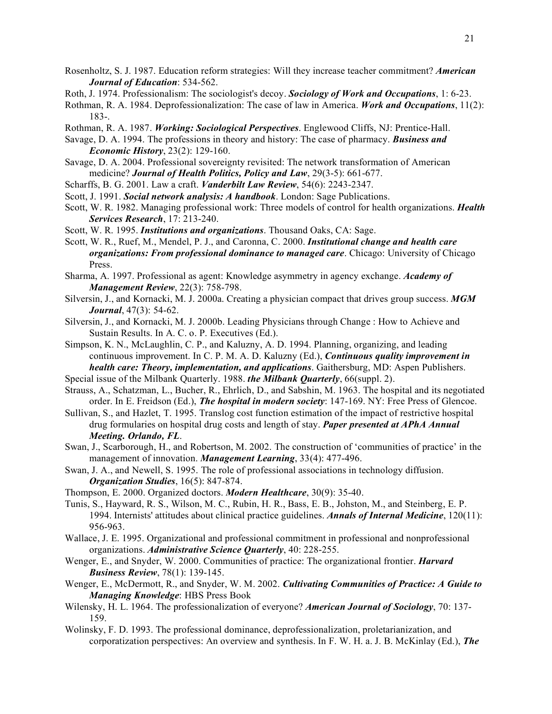- Rosenholtz, S. J. 1987. Education reform strategies: Will they increase teacher commitment? *American Journal of Education*: 534-562.
- Roth, J. 1974. Professionalism: The sociologist's decoy. *Sociology of Work and Occupations*, 1: 6-23.
- Rothman, R. A. 1984. Deprofessionalization: The case of law in America. *Work and Occupations*, 11(2): 183-.
- Rothman, R. A. 1987. *Working: Sociological Perspectives*. Englewood Cliffs, NJ: Prentice-Hall.
- Savage, D. A. 1994. The professions in theory and history: The case of pharmacy. *Business and Economic History*, 23(2): 129-160.
- Savage, D. A. 2004. Professional sovereignty revisited: The network transformation of American medicine? *Journal of Health Politics, Policy and Law*, 29(3-5): 661-677.
- Scharffs, B. G. 2001. Law a craft. *Vanderbilt Law Review*, 54(6): 2243-2347.
- Scott, J. 1991. *Social network analysis: A handbook*. London: Sage Publications.
- Scott, W. R. 1982. Managing professional work: Three models of control for health organizations. *Health Services Research*, 17: 213-240.
- Scott, W. R. 1995. *Institutions and organizations*. Thousand Oaks, CA: Sage.
- Scott, W. R., Ruef, M., Mendel, P. J., and Caronna, C. 2000. *Institutional change and health care organizations: From professional dominance to managed care*. Chicago: University of Chicago Press.
- Sharma, A. 1997. Professional as agent: Knowledge asymmetry in agency exchange. *Academy of Management Review*, 22(3): 758-798.
- Silversin, J., and Kornacki, M. J. 2000a. Creating a physician compact that drives group success. *MGM Journal*, 47(3): 54-62.
- Silversin, J., and Kornacki, M. J. 2000b. Leading Physicians through Change : How to Achieve and Sustain Results. In A. C. o. P. Executives (Ed.).
- Simpson, K. N., McLaughlin, C. P., and Kaluzny, A. D. 1994. Planning, organizing, and leading continuous improvement. In C. P. M. A. D. Kaluzny (Ed.), *Continuous quality improvement in health care: Theory, implementation, and applications*. Gaithersburg, MD: Aspen Publishers.
- Special issue of the Milbank Quarterly. 1988. *the Milbank Quarterly*, 66(suppl. 2).
- Strauss, A., Schatzman, L., Bucher, R., Ehrlich, D., and Sabshin, M. 1963. The hospital and its negotiated order. In E. Freidson (Ed.), *The hospital in modern society*: 147-169. NY: Free Press of Glencoe.
- Sullivan, S., and Hazlet, T. 1995. Translog cost function estimation of the impact of restrictive hospital drug formularies on hospital drug costs and length of stay. *Paper presented at APhA Annual Meeting. Orlando, FL*.
- Swan, J., Scarborough, H., and Robertson, M. 2002. The construction of 'communities of practice' in the management of innovation. *Management Learning*, 33(4): 477-496.
- Swan, J. A., and Newell, S. 1995. The role of professional associations in technology diffusion. *Organization Studies*, 16(5): 847-874.
- Thompson, E. 2000. Organized doctors. *Modern Healthcare*, 30(9): 35-40.
- Tunis, S., Hayward, R. S., Wilson, M. C., Rubin, H. R., Bass, E. B., Johston, M., and Steinberg, E. P. 1994. Internists' attitudes about clinical practice guidelines. *Annals of Internal Medicine*, 120(11): 956-963.
- Wallace, J. E. 1995. Organizational and professional commitment in professional and nonprofessional organizations. *Administrative Science Quarterly*, 40: 228-255.
- Wenger, E., and Snyder, W. 2000. Communities of practice: The organizational frontier. *Harvard Business Review*, 78(1): 139-145.
- Wenger, E., McDermott, R., and Snyder, W. M. 2002. *Cultivating Communities of Practice: A Guide to Managing Knowledge*: HBS Press Book
- Wilensky, H. L. 1964. The professionalization of everyone? *American Journal of Sociology*, 70: 137- 159.
- Wolinsky, F. D. 1993. The professional dominance, deprofessionalization, proletarianization, and corporatization perspectives: An overview and synthesis. In F. W. H. a. J. B. McKinlay (Ed.), *The*